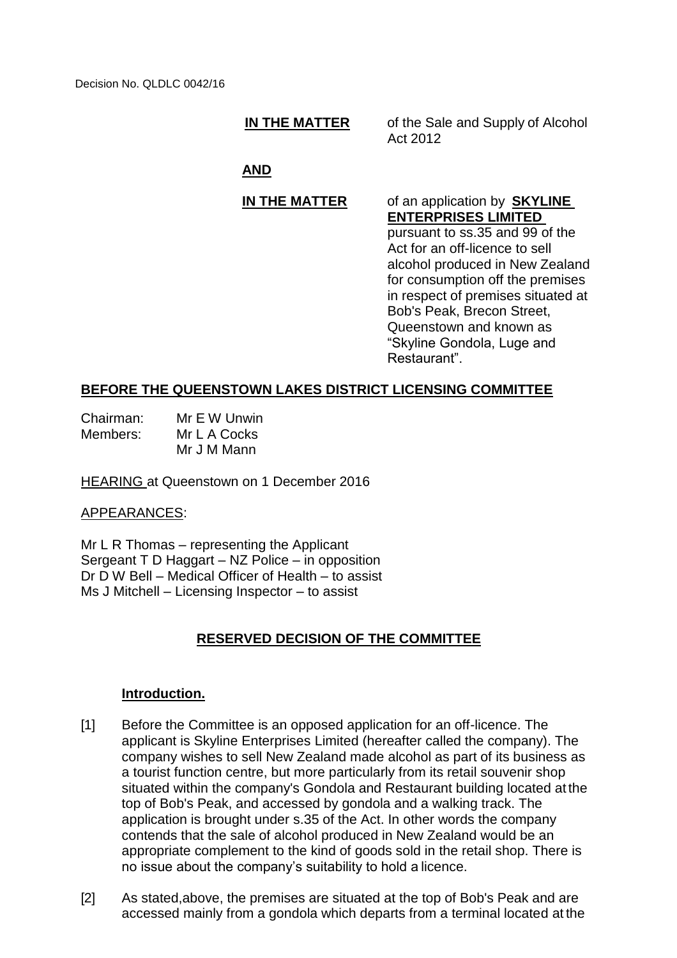#### **IN THE MATTER** of the Sale and Supply of Alcohol Act 2012

# **AND**

# **IN THE MATTER** of an application by **SKYLINE**

**ENTERPRISES LIMITED**  pursuant to ss.35 and 99 of the Act for an off-licence to sell alcohol produced in New Zealand for consumption off the premises in respect of premises situated at Bob's Peak, Brecon Street, Queenstown and known as "Skyline Gondola, Luge and Restaurant".

### **BEFORE THE QUEENSTOWN LAKES DISTRICT LICENSING COMMITTEE**

| Chairman: | Mr E W Unwin |
|-----------|--------------|
| Members:  | Mr L A Cocks |
|           | Mr J M Mann  |

HEARING at Queenstown on 1 December 2016

#### APPEARANCES:

Mr L R Thomas – representing the Applicant Sergeant T D Haggart – NZ Police – in opposition Dr D W Bell – Medical Officer of Health – to assist Ms J Mitchell – Licensing Inspector – to assist

# **RESERVED DECISION OF THE COMMITTEE**

#### **Introduction.**

- [1] Before the Committee is an opposed application for an off-licence. The applicant is Skyline Enterprises Limited (hereafter called the company). The company wishes to sell New Zealand made alcohol as part of its business as a tourist function centre, but more particularly from its retail souvenir shop situated within the company's Gondola and Restaurant building located at the top of Bob's Peak, and accessed by gondola and a walking track. The application is brought under s.35 of the Act. In other words the company contends that the sale of alcohol produced in New Zealand would be an appropriate complement to the kind of goods sold in the retail shop. There is no issue about the company's suitability to hold a licence.
- [2] As stated,above, the premises are situated at the top of Bob's Peak and are accessed mainly from a gondola which departs from a terminal located at the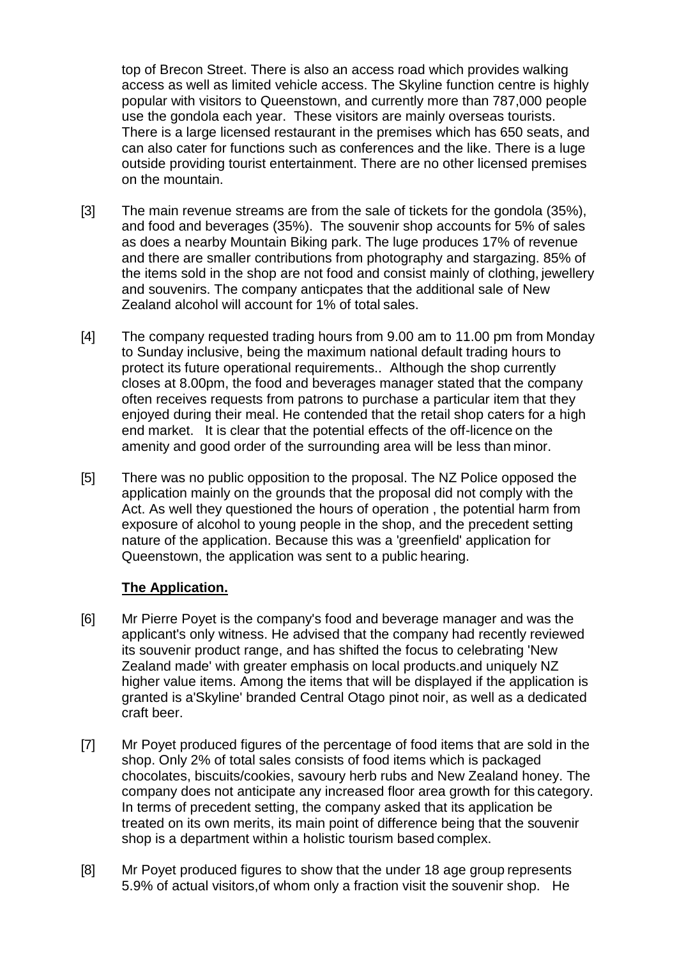top of Brecon Street. There is also an access road which provides walking access as well as limited vehicle access. The Skyline function centre is highly popular with visitors to Queenstown, and currently more than 787,000 people use the gondola each year. These visitors are mainly overseas tourists. There is a large licensed restaurant in the premises which has 650 seats, and can also cater for functions such as conferences and the like. There is a luge outside providing tourist entertainment. There are no other licensed premises on the mountain.

- [3] The main revenue streams are from the sale of tickets for the gondola (35%), and food and beverages (35%). The souvenir shop accounts for 5% of sales as does a nearby Mountain Biking park. The luge produces 17% of revenue and there are smaller contributions from photography and stargazing. 85% of the items sold in the shop are not food and consist mainly of clothing, jewellery and souvenirs. The company anticpates that the additional sale of New Zealand alcohol will account for 1% of total sales.
- [4] The company requested trading hours from 9.00 am to 11.00 pm from Monday to Sunday inclusive, being the maximum national default trading hours to protect its future operational requirements.. Although the shop currently closes at 8.00pm, the food and beverages manager stated that the company often receives requests from patrons to purchase a particular item that they enjoyed during their meal. He contended that the retail shop caters for a high end market. It is clear that the potential effects of the off-licence on the amenity and good order of the surrounding area will be less than minor.
- [5] There was no public opposition to the proposal. The NZ Police opposed the application mainly on the grounds that the proposal did not comply with the Act. As well they questioned the hours of operation , the potential harm from exposure of alcohol to young people in the shop, and the precedent setting nature of the application. Because this was a 'greenfield' application for Queenstown, the application was sent to a public hearing.

#### **The Application.**

- [6] Mr Pierre Poyet is the company's food and beverage manager and was the applicant's only witness. He advised that the company had recently reviewed its souvenir product range, and has shifted the focus to celebrating 'New Zealand made' with greater emphasis on local products.and uniquely NZ higher value items. Among the items that will be displayed if the application is granted is a'Skyline' branded Central Otago pinot noir, as well as a dedicated craft beer.
- [7] Mr Poyet produced figures of the percentage of food items that are sold in the shop. Only 2% of total sales consists of food items which is packaged chocolates, biscuits/cookies, savoury herb rubs and New Zealand honey. The company does not anticipate any increased floor area growth for this category. In terms of precedent setting, the company asked that its application be treated on its own merits, its main point of difference being that the souvenir shop is a department within a holistic tourism based complex.
- [8] Mr Poyet produced figures to show that the under 18 age group represents 5.9% of actual visitors,of whom only a fraction visit the souvenir shop. He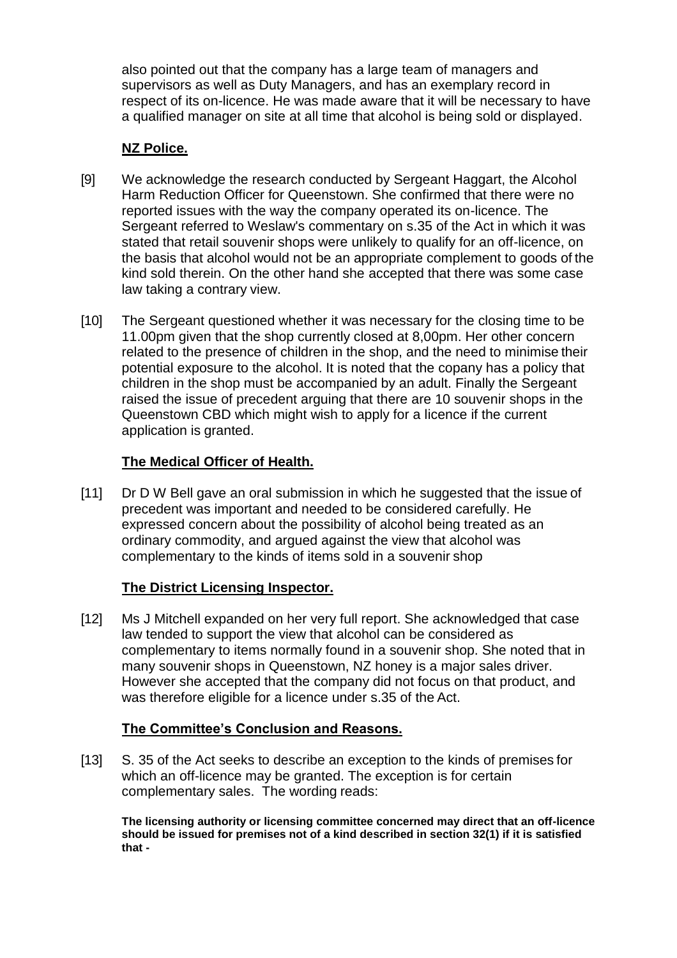also pointed out that the company has a large team of managers and supervisors as well as Duty Managers, and has an exemplary record in respect of its on-licence. He was made aware that it will be necessary to have a qualified manager on site at all time that alcohol is being sold or displayed.

## **NZ Police.**

- [9] We acknowledge the research conducted by Sergeant Haggart, the Alcohol Harm Reduction Officer for Queenstown. She confirmed that there were no reported issues with the way the company operated its on-licence. The Sergeant referred to Weslaw's commentary on s.35 of the Act in which it was stated that retail souvenir shops were unlikely to qualify for an off-licence, on the basis that alcohol would not be an appropriate complement to goods of the kind sold therein. On the other hand she accepted that there was some case law taking a contrary view.
- [10] The Sergeant questioned whether it was necessary for the closing time to be 11.00pm given that the shop currently closed at 8,00pm. Her other concern related to the presence of children in the shop, and the need to minimise their potential exposure to the alcohol. It is noted that the copany has a policy that children in the shop must be accompanied by an adult. Finally the Sergeant raised the issue of precedent arguing that there are 10 souvenir shops in the Queenstown CBD which might wish to apply for a licence if the current application is granted.

### **The Medical Officer of Health.**

[11] Dr D W Bell gave an oral submission in which he suggested that the issue of precedent was important and needed to be considered carefully. He expressed concern about the possibility of alcohol being treated as an ordinary commodity, and argued against the view that alcohol was complementary to the kinds of items sold in a souvenir shop

# **The District Licensing Inspector.**

[12] Ms J Mitchell expanded on her very full report. She acknowledged that case law tended to support the view that alcohol can be considered as complementary to items normally found in a souvenir shop. She noted that in many souvenir shops in Queenstown, NZ honey is a major sales driver. However she accepted that the company did not focus on that product, and was therefore eligible for a licence under s.35 of the Act.

#### **The Committee's Conclusion and Reasons.**

[13] S. 35 of the Act seeks to describe an exception to the kinds of premises for which an off-licence may be granted. The exception is for certain complementary sales. The wording reads:

**The licensing authority or licensing committee concerned may direct that an off-licence should be issued for premises not of a kind described in section 32(1) if it is satisfied that -**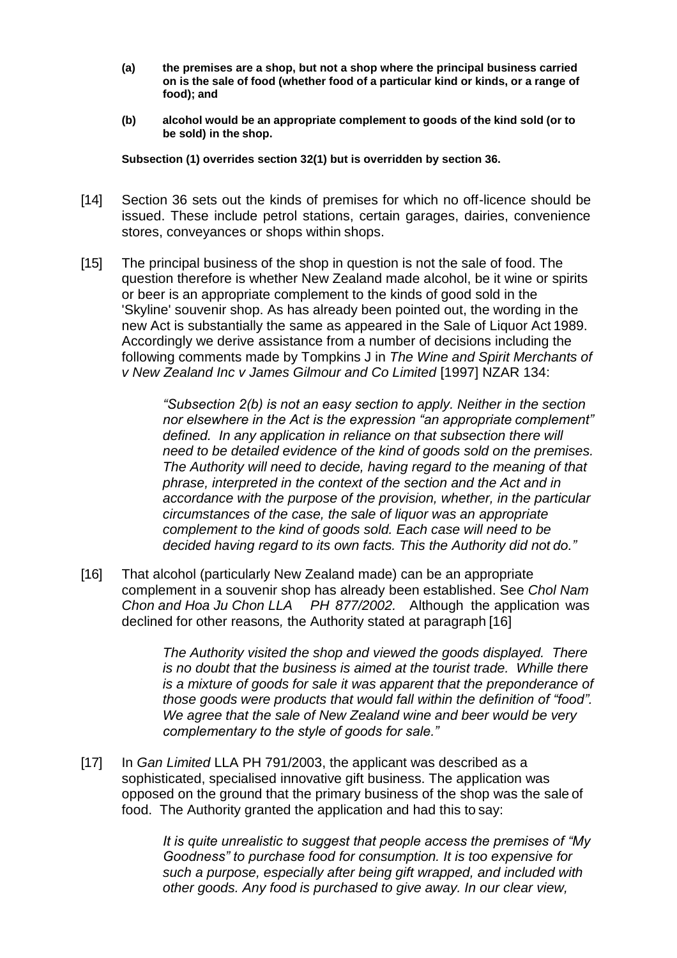- **(a) the premises are a shop, but not a shop where the principal business carried on is the sale of food (whether food of a particular kind or kinds, or a range of food); and**
- **(b) alcohol would be an appropriate complement to goods of the kind sold (or to be sold) in the shop.**

**Subsection (1) overrides section 32(1) but is overridden by section 36.**

- [14] Section 36 sets out the kinds of premises for which no off-licence should be issued. These include petrol stations, certain garages, dairies, convenience stores, conveyances or shops within shops.
- [15] The principal business of the shop in question is not the sale of food. The question therefore is whether New Zealand made alcohol, be it wine or spirits or beer is an appropriate complement to the kinds of good sold in the 'Skyline' souvenir shop. As has already been pointed out, the wording in the new Act is substantially the same as appeared in the Sale of Liquor Act 1989. Accordingly we derive assistance from a number of decisions including the following comments made by Tompkins J in *The Wine and Spirit Merchants of v New Zealand Inc v James Gilmour and Co Limited* [1997] NZAR 134:

*"Subsection 2(b) is not an easy section to apply. Neither in the section nor elsewhere in the Act is the expression "an appropriate complement" defined. In any application in reliance on that subsection there will need to be detailed evidence of the kind of goods sold on the premises. The Authority will need to decide, having regard to the meaning of that phrase, interpreted in the context of the section and the Act and in accordance with the purpose of the provision, whether, in the particular circumstances of the case, the sale of liquor was an appropriate complement to the kind of goods sold. Each case will need to be decided having regard to its own facts. This the Authority did not do."*

[16] That alcohol (particularly New Zealand made) can be an appropriate complement in a souvenir shop has already been established. See *Chol Nam Chon and Hoa Ju Chon LLA PH 877/2002.* Although the application was declined for other reasons*,* the Authority stated at paragraph [16]

> *The Authority visited the shop and viewed the goods displayed. There is no doubt that the business is aimed at the tourist trade. Whille there is a mixture of goods for sale it was apparent that the preponderance of those goods were products that would fall within the definition of "food". We agree that the sale of New Zealand wine and beer would be very complementary to the style of goods for sale."*

[17] In *Gan Limited* LLA PH 791/2003, the applicant was described as a sophisticated, specialised innovative gift business. The application was opposed on the ground that the primary business of the shop was the sale of food. The Authority granted the application and had this to say:

> *It is quite unrealistic to suggest that people access the premises of "My Goodness" to purchase food for consumption. It is too expensive for such a purpose, especially after being gift wrapped, and included with other goods. Any food is purchased to give away. In our clear view,*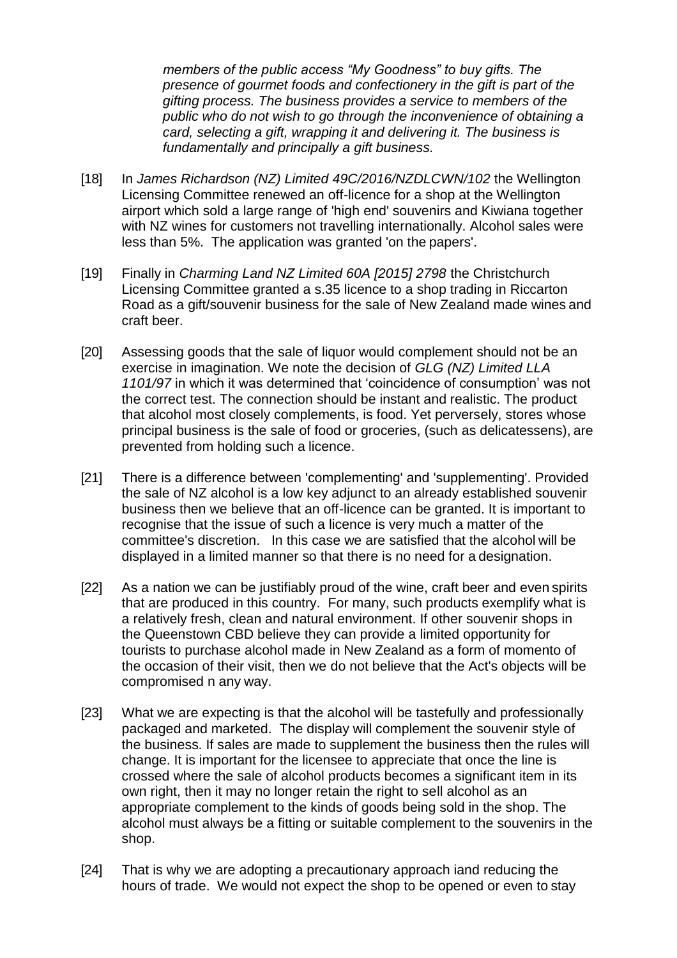*members of the public access "My Goodness" to buy gifts. The presence of gourmet foods and confectionery in the gift is part of the gifting process. The business provides a service to members of the public who do not wish to go through the inconvenience of obtaining a card, selecting a gift, wrapping it and delivering it. The business is fundamentally and principally a gift business.*

- [18] In *James Richardson (NZ) Limited 49C/2016/NZDLCWN/102* the Wellington Licensing Committee renewed an off-licence for a shop at the Wellington airport which sold a large range of 'high end' souvenirs and Kiwiana together with NZ wines for customers not travelling internationally. Alcohol sales were less than 5%. The application was granted 'on the papers'.
- [19] Finally in *Charming Land NZ Limited 60A [2015] 2798* the Christchurch Licensing Committee granted a s.35 licence to a shop trading in Riccarton Road as a gift/souvenir business for the sale of New Zealand made wines and craft beer.
- [20] Assessing goods that the sale of liquor would complement should not be an exercise in imagination. We note the decision of *GLG (NZ) Limited LLA 1101/97* in which it was determined that 'coincidence of consumption' was not the correct test. The connection should be instant and realistic. The product that alcohol most closely complements, is food. Yet perversely, stores whose principal business is the sale of food or groceries, (such as delicatessens), are prevented from holding such a licence.
- [21] There is a difference between 'complementing' and 'supplementing'. Provided the sale of NZ alcohol is a low key adjunct to an already established souvenir business then we believe that an off-licence can be granted. It is important to recognise that the issue of such a licence is very much a matter of the committee's discretion. In this case we are satisfied that the alcohol will be displayed in a limited manner so that there is no need for a designation.
- [22] As a nation we can be justifiably proud of the wine, craft beer and even spirits that are produced in this country. For many, such products exemplify what is a relatively fresh, clean and natural environment. If other souvenir shops in the Queenstown CBD believe they can provide a limited opportunity for tourists to purchase alcohol made in New Zealand as a form of momento of the occasion of their visit, then we do not believe that the Act's objects will be compromised n any way.
- [23] What we are expecting is that the alcohol will be tastefully and professionally packaged and marketed. The display will complement the souvenir style of the business. If sales are made to supplement the business then the rules will change. It is important for the licensee to appreciate that once the line is crossed where the sale of alcohol products becomes a significant item in its own right, then it may no longer retain the right to sell alcohol as an appropriate complement to the kinds of goods being sold in the shop. The alcohol must always be a fitting or suitable complement to the souvenirs in the shop.
- [24] That is why we are adopting a precautionary approach iand reducing the hours of trade. We would not expect the shop to be opened or even to stay